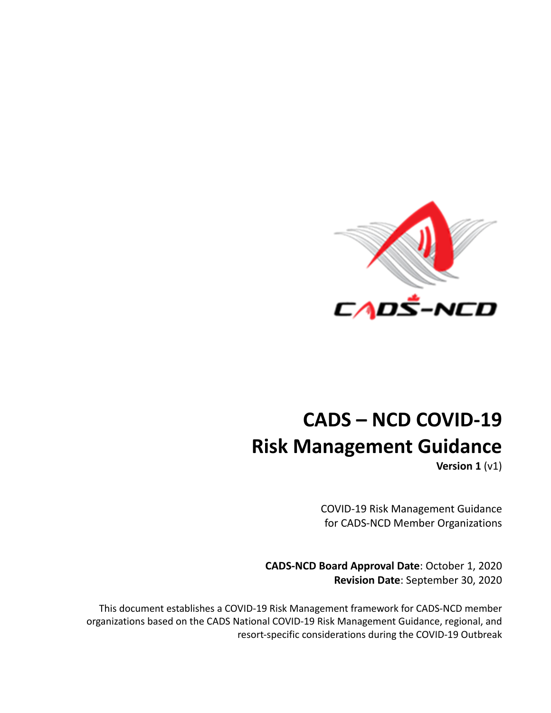

# **CADS – NCD COVID-19 Risk Management Guidance**

**Version 1** (v1)

COVID-19 Risk Management Guidance for CADS-NCD Member Organizations

**CADS-NCD Board Approval Date**: October 1, 2020 **Revision Date**: September 30, 2020

This document establishes a COVID-19 Risk Management framework for CADS-NCD member organizations based on the CADS National COVID-19 Risk Management Guidance, regional, and resort-specific considerations during the COVID-19 Outbreak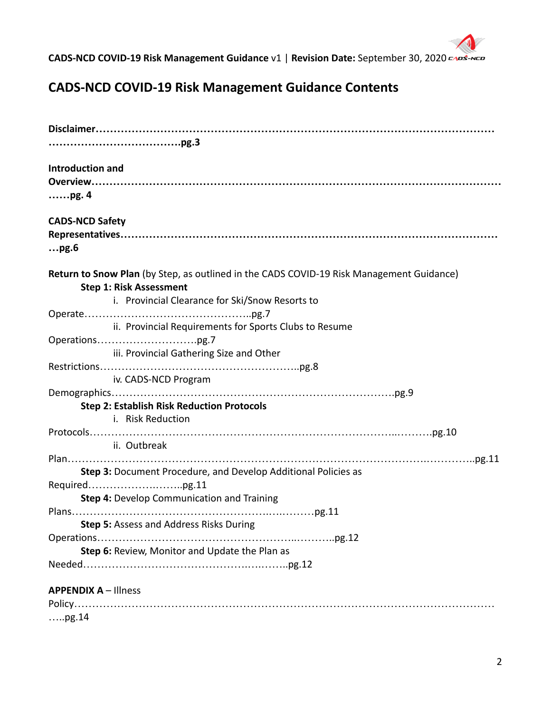

# **CADS-NCD COVID-19 Risk Management Guidance Contents**

| <b>Introduction and</b>                                                                                                                                                                                                                                                                                                                                                                    |
|--------------------------------------------------------------------------------------------------------------------------------------------------------------------------------------------------------------------------------------------------------------------------------------------------------------------------------------------------------------------------------------------|
|                                                                                                                                                                                                                                                                                                                                                                                            |
|                                                                                                                                                                                                                                                                                                                                                                                            |
| <b>CADS-NCD Safety</b>                                                                                                                                                                                                                                                                                                                                                                     |
|                                                                                                                                                                                                                                                                                                                                                                                            |
| pg.6                                                                                                                                                                                                                                                                                                                                                                                       |
| Return to Snow Plan (by Step, as outlined in the CADS COVID-19 Risk Management Guidance)<br><b>Step 1: Risk Assessment</b>                                                                                                                                                                                                                                                                 |
| i. Provincial Clearance for Ski/Snow Resorts to                                                                                                                                                                                                                                                                                                                                            |
|                                                                                                                                                                                                                                                                                                                                                                                            |
| ii. Provincial Requirements for Sports Clubs to Resume                                                                                                                                                                                                                                                                                                                                     |
|                                                                                                                                                                                                                                                                                                                                                                                            |
| iii. Provincial Gathering Size and Other                                                                                                                                                                                                                                                                                                                                                   |
|                                                                                                                                                                                                                                                                                                                                                                                            |
| iv. CADS-NCD Program                                                                                                                                                                                                                                                                                                                                                                       |
|                                                                                                                                                                                                                                                                                                                                                                                            |
| <b>Step 2: Establish Risk Reduction Protocols</b><br>i. Risk Reduction                                                                                                                                                                                                                                                                                                                     |
| $\texttt{Protocols}.\texttt{}.\texttt{}.\texttt{}.\texttt{}.\texttt{}.\texttt{}.\texttt{}.\texttt{}.\texttt{}.\texttt{},\texttt{}.\texttt{},\texttt{},\texttt{},\texttt{},\texttt{},\texttt{},\texttt{},\texttt{},\texttt{},\texttt{},\texttt{},\texttt{},\texttt{},\texttt{},\texttt{},\texttt{},\texttt{},\texttt{},\texttt{},\texttt{},\texttt{},\texttt{},\texttt{},\texttt{},\texttt$ |
| ii. Outbreak                                                                                                                                                                                                                                                                                                                                                                               |
|                                                                                                                                                                                                                                                                                                                                                                                            |
| Step 3: Document Procedure, and Develop Additional Policies as                                                                                                                                                                                                                                                                                                                             |
|                                                                                                                                                                                                                                                                                                                                                                                            |
| Step 4: Develop Communication and Training                                                                                                                                                                                                                                                                                                                                                 |
|                                                                                                                                                                                                                                                                                                                                                                                            |
| <b>Step 5:</b> Assess and Address Risks During                                                                                                                                                                                                                                                                                                                                             |
|                                                                                                                                                                                                                                                                                                                                                                                            |
| Step 6: Review, Monitor and Update the Plan as                                                                                                                                                                                                                                                                                                                                             |
|                                                                                                                                                                                                                                                                                                                                                                                            |
| <b>APPENDIX A - Illness</b>                                                                                                                                                                                                                                                                                                                                                                |
|                                                                                                                                                                                                                                                                                                                                                                                            |
| ,pg.14                                                                                                                                                                                                                                                                                                                                                                                     |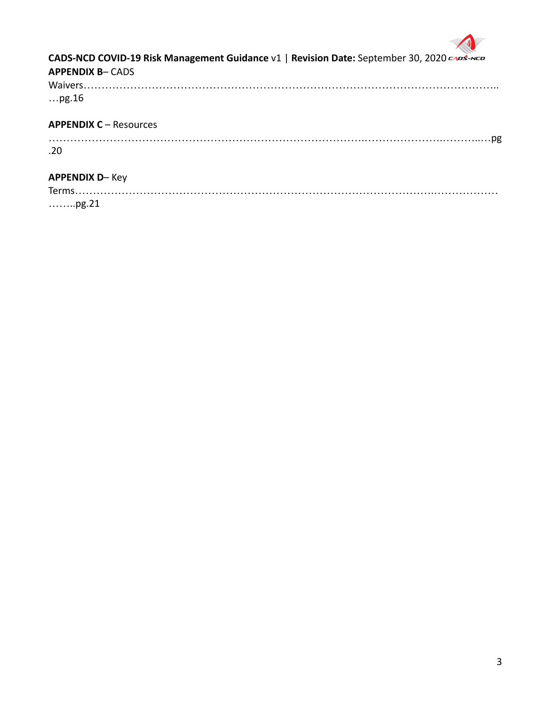

Terms……………………………………………………………………………………….……………… ……..pg.21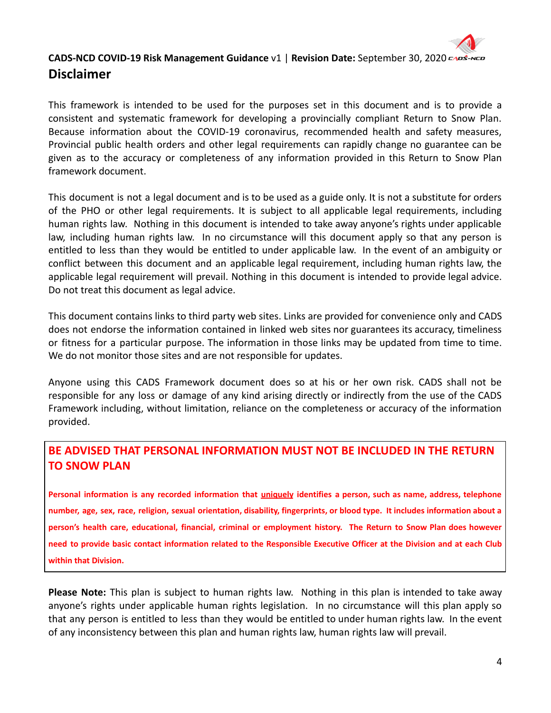

This framework is intended to be used for the purposes set in this document and is to provide a consistent and systematic framework for developing a provincially compliant Return to Snow Plan. Because information about the COVID-19 coronavirus, recommended health and safety measures, Provincial public health orders and other legal requirements can rapidly change no guarantee can be given as to the accuracy or completeness of any information provided in this Return to Snow Plan framework document.

This document is not a legal document and is to be used as a guide only. It is not a substitute for orders of the PHO or other legal requirements. It is subject to all applicable legal requirements, including human rights law. Nothing in this document is intended to take away anyone's rights under applicable law, including human rights law. In no circumstance will this document apply so that any person is entitled to less than they would be entitled to under applicable law. In the event of an ambiguity or conflict between this document and an applicable legal requirement, including human rights law, the applicable legal requirement will prevail. Nothing in this document is intended to provide legal advice. Do not treat this document as legal advice.

This document contains links to third party web sites. Links are provided for convenience only and CADS does not endorse the information contained in linked web sites nor guarantees its accuracy, timeliness or fitness for a particular purpose. The information in those links may be updated from time to time. We do not monitor those sites and are not responsible for updates.

Anyone using this CADS Framework document does so at his or her own risk. CADS shall not be responsible for any loss or damage of any kind arising directly or indirectly from the use of the CADS Framework including, without limitation, reliance on the completeness or accuracy of the information provided.

# **BE ADVISED THAT PERSONAL INFORMATION MUST NOT BE INCLUDED IN THE RETURN TO SNOW PLAN**

Personal information is any recorded information that *uniquely* identifies a person, such as name, address, telephone number, age, sex, race, religion, sexual orientation, disability, fingerprints, or blood type. It includes information about a person's health care, educational, financial, criminal or employment history. The Return to Snow Plan does however need to provide basic contact information related to the Responsible Executive Officer at the Division and at each Club **within that Division.**

**Please Note:** This plan is subject to human rights law. Nothing in this plan is intended to take away anyone's rights under applicable human rights legislation. In no circumstance will this plan apply so that any person is entitled to less than they would be entitled to under human rights law. In the event of any inconsistency between this plan and human rights law, human rights law will prevail.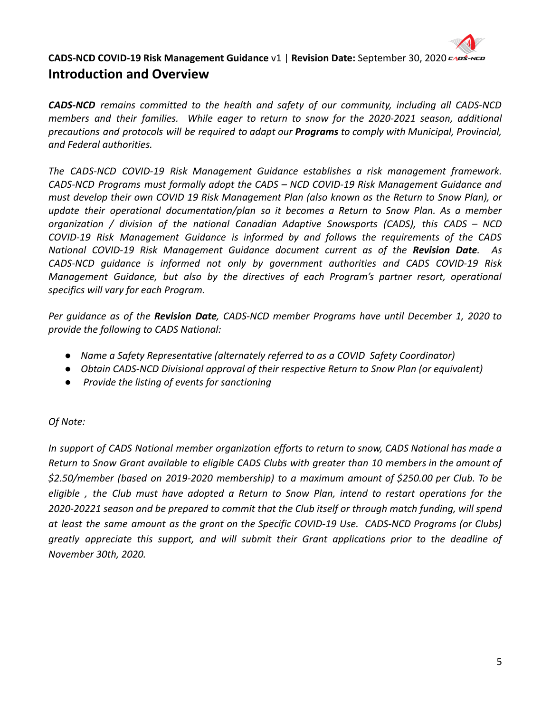

# **CADS-NCD COVID-19 Risk Management Guidance** v1 | **Revision Date:** September 30, 2020 **Introduction and Overview**

*CADS-NCD remains committed to the health and safety of our community, including all CADS-NCD members and their families. While eager to return to snow for the 2020-2021 season, additional precautions and protocols will be required to adapt our Programs to comply with Municipal, Provincial, and Federal authorities.*

*The CADS-NCD COVID-19 Risk Management Guidance establishes a risk management framework. CADS-NCD Programs must formally adopt the CADS – NCD COVID-19 Risk Management Guidance and must develop their own COVID 19 Risk Management Plan (also known as the Return to Snow Plan), or update their operational documentation/plan so it becomes a Return to Snow Plan. As a member organization / division of the national Canadian Adaptive Snowsports (CADS), this CADS – NCD COVID-19 Risk Management Guidance is informed by and follows the requirements of the CADS National COVID-19 Risk Management Guidance document current as of the Revision Date. As CADS-NCD guidance is informed not only by government authorities and CADS COVID-19 Risk Management Guidance, but also by the directives of each Program's partner resort, operational specifics will vary for each Program.*

*Per guidance as of the Revision Date, CADS-NCD member Programs have until December 1, 2020 to provide the following to CADS National:*

- *● Name a Safety Representative (alternately referred to as a COVID Safety Coordinator)*
- *● Obtain CADS-NCD Divisional approval of their respective Return to Snow Plan (or equivalent)*
- *● Provide the listing of events for sanctioning*

# *Of Note:*

*In support of CADS National member organization efforts to return to snow, CADS National has made a* Return to Snow Grant available to eligible CADS Clubs with greater than 10 members in the amount of *\$2.50/member (based on 2019-2020 membership) to a maximum amount of \$250.00 per Club. To be eligible , the Club must have adopted a Return to Snow Plan, intend to restart operations for the 2020-20221 season and be prepared to commit that the Club itself or through match funding, will spend at least the same amount as the grant on the Specific COVID-19 Use. CADS-NCD Programs (or Clubs) greatly appreciate this support, and will submit their Grant applications prior to the deadline of November 30th, 2020.*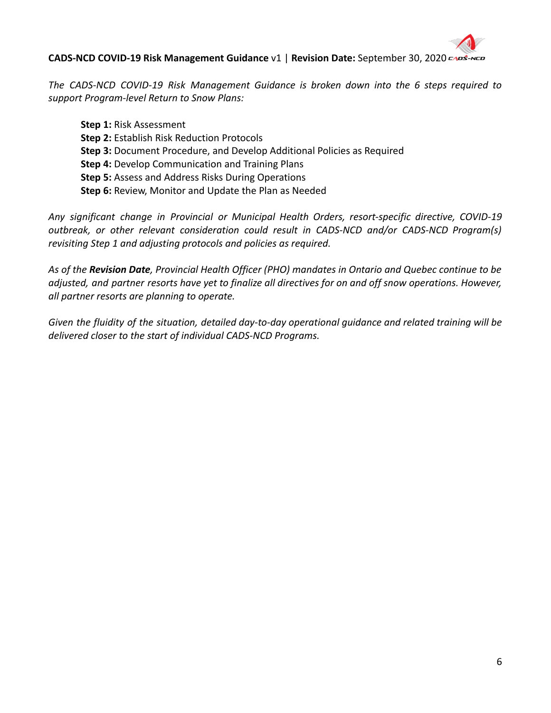

*The CADS-NCD COVID-19 Risk Management Guidance is broken down into the 6 steps required to support Program-level Return to Snow Plans:*

**Step 1:** Risk Assessment **Step 2:** Establish Risk Reduction Protocols **Step 3:** Document Procedure, and Develop Additional Policies as Required **Step 4:** Develop Communication and Training Plans **Step 5:** Assess and Address Risks During Operations **Step 6:** Review, Monitor and Update the Plan as Needed

*Any significant change in Provincial or Municipal Health Orders, resort-specific directive, COVID-19 outbreak, or other relevant consideration could result in CADS-NCD and/or CADS-NCD Program(s) revisiting Step 1 and adjusting protocols and policies as required.*

As of the Revision Date, Provincial Health Officer (PHO) mandates in Ontario and Quebec continue to be adjusted, and partner resorts have yet to finalize all directives for on and off snow operations. However, *all partner resorts are planning to operate.*

*Given the fluidity of the situation, detailed day-to-day operational guidance and related training will be delivered closer to the start of individual CADS-NCD Programs.*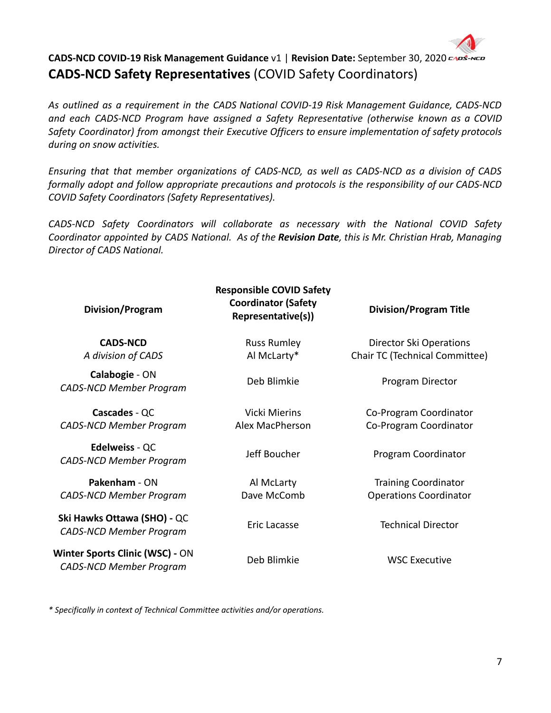

*As outlined as a requirement in the CADS National COVID-19 Risk Management Guidance, CADS-NCD and each CADS-NCD Program have assigned a Safety Representative (otherwise known as a COVID Safety Coordinator) from amongst their Executive Officers to ensure implementation of safety protocols during on snow activities.*

*Ensuring that that member organizations of CADS-NCD, as well as CADS-NCD as a division of CADS formally adopt and follow appropriate precautions and protocols is the responsibility of our CADS-NCD COVID Safety Coordinators (Safety Representatives).*

*CADS-NCD Safety Coordinators will collaborate as necessary with the National COVID Safety Coordinator appointed by CADS National. As of the Revision Date, this is Mr. Christian Hrab, Managing Director of CADS National.*

| Division/Program                                                  | <b>Responsible COVID Safety</b><br><b>Coordinator (Safety</b><br>Representative(s)) | <b>Division/Program Title</b>  |
|-------------------------------------------------------------------|-------------------------------------------------------------------------------------|--------------------------------|
| <b>CADS-NCD</b>                                                   | <b>Russ Rumley</b>                                                                  | Director Ski Operations        |
| A division of CADS                                                | Al McLarty*                                                                         | Chair TC (Technical Committee) |
| Calabogie - ON<br><b>CADS-NCD Member Program</b>                  | Deb Blimkie                                                                         | Program Director               |
| Cascades - QC                                                     | Vicki Mierins                                                                       | Co-Program Coordinator         |
| <b>CADS-NCD Member Program</b>                                    | Alex MacPherson                                                                     | Co-Program Coordinator         |
| <b>Edelweiss - QC</b><br><b>CADS-NCD Member Program</b>           | Jeff Boucher                                                                        | Program Coordinator            |
| Pakenham - ON                                                     | Al McLarty                                                                          | <b>Training Coordinator</b>    |
| <b>CADS-NCD Member Program</b>                                    | Dave McComb                                                                         | <b>Operations Coordinator</b>  |
| Ski Hawks Ottawa (SHO) - QC<br><b>CADS-NCD Member Program</b>     | Eric Lacasse                                                                        | <b>Technical Director</b>      |
| Winter Sports Clinic (WSC) - ON<br><b>CADS-NCD Member Program</b> | Deb Blimkie                                                                         | <b>WSC Executive</b>           |

*\* Specifically in context of Technical Committee activities and/or operations.*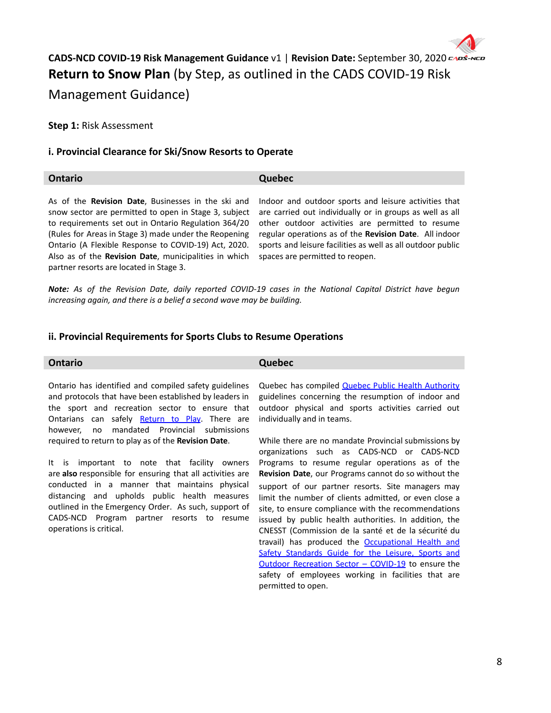

**Step 1:** Risk Assessment

### **i. Provincial Clearance for Ski/Snow Resorts to Operate**

# **Ontario Quebec**

As of the **Revision Date**, Businesses in the ski and snow sector are permitted to open in Stage 3, subject to requirements set out in Ontario Regulation 364/20 (Rules for Areas in Stage 3) made under the Reopening Ontario (A Flexible Response to COVID-19) Act, 2020. Also as of the **Revision Date**, municipalities in which partner resorts are located in Stage 3.

Indoor and outdoor sports and leisure activities that are carried out individually or in groups as well as all other outdoor activities are permitted to resume regular operations as of the **Revision Date**. All indoor sports and leisure facilities as well as all outdoor public spaces are permitted to reopen.

*Note: As of the Revision Date, daily reported COVID-19 cases in the National Capital District have begun increasing again, and there is a belief a second wave may be building.*

### **ii. Provincial Requirements for Sports Clubs to Resume Operations**

#### **Ontario Quebec**

Ontario has identified and compiled safety guidelines and protocols that have been established by leaders in the sport and recreation sector to ensure that Ontarians can safely [Return](https://www.ontario.ca/page/return-to-play) to Play. There are however, no mandated Provincial submissions required to return to play as of the **Revision Date**.

It is important to note that facility owners are **also** responsible for ensuring that all activities are conducted in a manner that maintains physical distancing and upholds public health measures outlined in the [Emergency](https://www.ontario.ca/laws/regulation/r20324) Order. As such, support of CADS-NCD Program partner resorts to resume operations is critical.

Quebec has compiled **Quebec Public Health [Authority](https://www.quebec.ca/en/tourism-and-recreation/sporting-and-outdoor-activities/resumption-outdoor-recreational-sports-leisure-activities/public-health-authority-guidelines-resumption-sports-leisure-activities/)** guidelines concerning the resumption of indoor and outdoor physical and sports activities carried out individually and in teams.

While there are no mandate Provincial submissions by organizations such as CADS-NCD or CADS-NCD Programs to resume regular operations as of the **Revision Date**, our Programs cannot do so without the support of our partner resorts. Site managers may limit the number of clients admitted, or even close a site, to ensure compliance with the recommendations issued by public health authorities. In addition, the CNESST (Commission de la santé et de la sécurité du travail) has produced the [Occupational](https://www.cnesst.gouv.qc.ca/salle-de-presse/covid-19-info-en/Pages/toolkit-sports-outdoor.aspx) Health and Safety [Standards](https://www.cnesst.gouv.qc.ca/salle-de-presse/covid-19-info-en/Pages/toolkit-sports-outdoor.aspx) Guide for the Leisure, Sports and Outdoor [Recreation](https://www.cnesst.gouv.qc.ca/salle-de-presse/covid-19-info-en/Pages/toolkit-sports-outdoor.aspx) Sector – COVID-19 to ensure the safety of employees working in facilities that are permitted to open.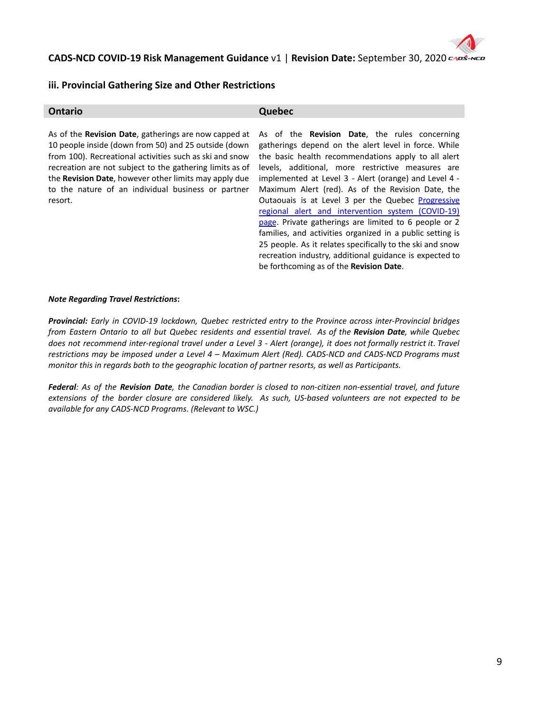### **iii. Provincial Gathering Size and Other Restrictions**

| Ontario                                                                                                                                                                                                                                                                                                                                                                        | Quebec                                                                                                                                                                                                                                                                                                                                                                                                                                                                                                                                                                                                                                                                                                                                              |
|--------------------------------------------------------------------------------------------------------------------------------------------------------------------------------------------------------------------------------------------------------------------------------------------------------------------------------------------------------------------------------|-----------------------------------------------------------------------------------------------------------------------------------------------------------------------------------------------------------------------------------------------------------------------------------------------------------------------------------------------------------------------------------------------------------------------------------------------------------------------------------------------------------------------------------------------------------------------------------------------------------------------------------------------------------------------------------------------------------------------------------------------------|
| As of the <b>Revision Date</b> , gatherings are now capped at<br>10 people inside (down from 50) and 25 outside (down<br>from 100). Recreational activities such as ski and snow<br>recreation are not subject to the gathering limits as of<br>the <b>Revision Date</b> , however other limits may apply due<br>to the nature of an individual business or partner<br>resort. | As of the <b>Revision Date</b> , the rules concerning<br>gatherings depend on the alert level in force. While<br>the basic health recommendations apply to all alert<br>levels, additional, more restrictive measures are<br>implemented at Level 3 - Alert (orange) and Level 4 -<br>Maximum Alert (red). As of the Revision Date, the<br>Outaouais is at Level 3 per the Quebec Progressive<br>regional alert and intervention system (COVID-19)<br>page. Private gatherings are limited to 6 people or 2<br>families, and activities organized in a public setting is<br>25 people. As it relates specifically to the ski and snow<br>recreation industry, additional guidance is expected to<br>be forthcoming as of the <b>Revision Date</b> . |

#### *Note Regarding Travel Restrictions***:**

*Provincial: Early in COVID-19 lockdown, Quebec restricted entry to the Province across inter-Provincial bridges* from Eastern Ontario to all but Quebec residents and essential travel. As of the Revision Date, while Quebec does not recommend inter-regional travel under a Level 3 - Alert (orange), it does not formally restrict it. Travel *restrictions may be imposed under a Level 4 – Maximum Alert (Red). CADS-NCD and CADS-NCD Programs must monitor this in regards both to the geographic location of partner resorts, as well as Participants.*

Federal: As of the Revision Date, the Canadian border is closed to non-citizen non-essential travel, and future extensions of the border closure are considered likely. As such, US-based volunteers are not expected to be *available for any CADS-NCD Programs. (Relevant to WSC.)*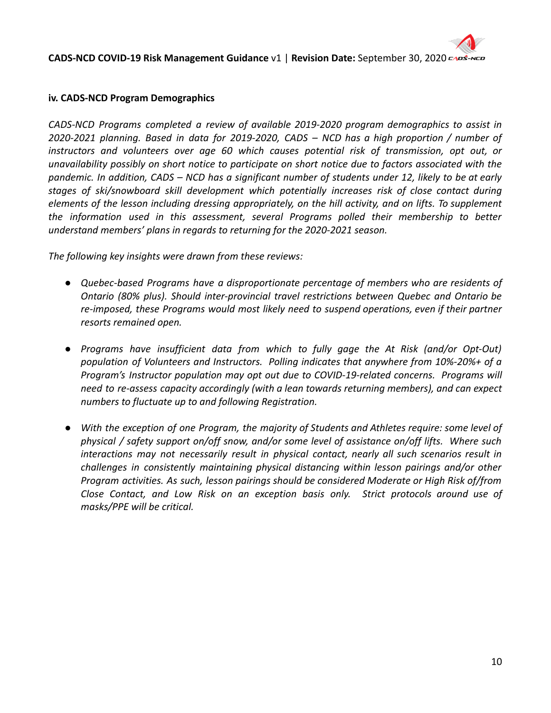

# **iv. CADS-NCD Program Demographics**

*CADS-NCD Programs completed a review of available 2019-2020 program demographics to assist in 2020-2021 planning. Based in data for 2019-2020, CADS – NCD has a high proportion / number of instructors and volunteers over age 60 which causes potential risk of transmission, opt out, or unavailability possibly on short notice to participate on short notice due to factors associated with the* pandemic. In addition, CADS – NCD has a significant number of students under 12, likely to be at early *stages of ski/snowboard skill development which potentially increases risk of close contact during elements of the lesson including dressing appropriately, on the hill activity, and on lifts. To supplement the information used in this assessment, several Programs polled their membership to better understand members' plans in regards to returning for the 2020-2021 season.*

*The following key insights were drawn from these reviews:*

- *● Quebec-based Programs have a disproportionate percentage of members who are residents of Ontario (80% plus). Should inter-provincial travel restrictions between Quebec and Ontario be re-imposed, these Programs would most likely need to suspend operations, even if their partner resorts remained open.*
- *● Programs have insufficient data from which to fully gage the At Risk (and/or Opt-Out) population of Volunteers and Instructors. Polling indicates that anywhere from 10%-20%+ of a Program's Instructor population may opt out due to COVID-19-related concerns. Programs will need to re-assess capacity accordingly (with a lean towards returning members), and can expect numbers to fluctuate up to and following Registration.*
- *● With the exception of one Program, the majority of Students and Athletes require: some level of physical / safety support on/off snow, and/or some level of assistance on/off lifts. Where such interactions may not necessarily result in physical contact, nearly all such scenarios result in challenges in consistently maintaining physical distancing within lesson pairings and/or other Program activities. As such, lesson pairings should be considered Moderate or High Risk of/from Close Contact, and Low Risk on an exception basis only. Strict protocols around use of masks/PPE will be critical.*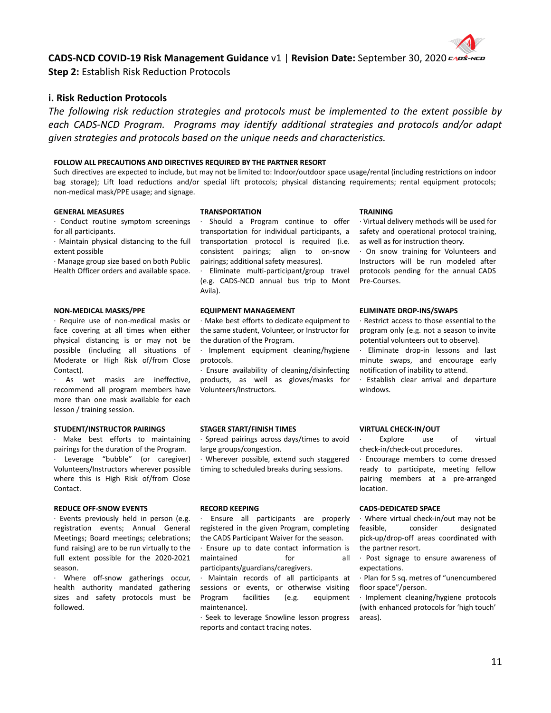

**Step 2:** Establish Risk Reduction Protocols

### **i. Risk Reduction Protocols**

*The following risk reduction strategies and protocols must be implemented to the extent possible by each CADS-NCD Program. Programs may identify additional strategies and protocols and/or adapt given strategies and protocols based on the unique needs and characteristics.*

#### **FOLLOW ALL PRECAUTIONS AND DIRECTIVES REQUIRED BY THE PARTNER RESORT**

Such directives are expected to include, but may not be limited to: Indoor/outdoor space usage/rental (including restrictions on indoor bag storage); Lift load reductions and/or special lift protocols; physical distancing requirements; rental equipment protocols; non-medical mask/PPE usage; and signage.

#### **GENERAL MEASURES**

∙ Conduct routine symptom screenings for all participants.

∙ Maintain physical distancing to the full extent possible

∙ Manage group size based on both Public Health Officer orders and available space.

#### **NON-MEDICAL MASKS/PPE**

∙ Require use of non-medical masks or face covering at all times when either physical distancing is or may not be possible (including all situations of Moderate or High Risk of/from Close Contact).

∙ As wet masks are ineffective, recommend all program members have more than one mask available for each lesson / training session.

#### **STUDENT/INSTRUCTOR PAIRINGS**

∙ Make best efforts to maintaining pairings for the duration of the Program. ∙ Leverage "bubble" (or caregiver) Volunteers/Instructors wherever possible where this is High Risk of/from Close Contact.

#### **REDUCE OFF-SNOW EVENTS**

∙ Events previously held in person (e.g. registration events; Annual General Meetings; Board meetings; celebrations; fund raising) are to be run virtually to the full extent possible for the 2020-2021 season.

∙ Where off-snow gatherings occur, health authority mandated gathering sizes and safety protocols must be followed.

#### **TRANSPORTATION**

∙ Should a Program continue to offer transportation for individual participants, a transportation protocol is required (i.e. consistent pairings; align to on-snow pairings; additional safety measures).

∙ Eliminate multi-participant/group travel (e.g. CADS-NCD annual bus trip to Mont Avila).

#### **EQUIPMENT MANAGEMENT**

∙ Make best efforts to dedicate equipment to the same student, Volunteer, or Instructor for the duration of the Program.

∙ Implement equipment cleaning/hygiene protocols.

∙ Ensure availability of cleaning/disinfecting products, as well as gloves/masks for Volunteers/Instructors.

#### **STAGER START/FINISH TIMES**

∙ Spread pairings across days/times to avoid large groups/congestion.

∙ Wherever possible, extend such staggered timing to scheduled breaks during sessions.

#### **RECORD KEEPING**

∙ Ensure all participants are properly registered in the given Program, completing the CADS Participant Waiver for the season.

∙ Ensure up to date contact information is maintained for all participants/guardians/caregivers.

∙ Maintain records of all participants at sessions or events, or otherwise visiting Program facilities (e.g. equipment maintenance).

∙ Seek to leverage Snowline lesson progress reports and contact tracing notes.

#### **TRAINING**

∙ Virtual delivery methods will be used for safety and operational protocol training, as well as for instruction theory.

∙ On snow training for Volunteers and Instructors will be run modeled after protocols pending for the annual CADS Pre-Courses.

#### **ELIMINATE DROP-INS/SWAPS**

∙ Restrict access to those essential to the program only (e.g. not a season to invite potential volunteers out to observe).

∙ Eliminate drop-in lessons and last minute swaps, and encourage early notification of inability to attend.

∙ Establish clear arrival and departure windows.

#### **VIRTUAL CHECK-IN/OUT**

Explore use of virtual check-in/check-out procedures.

∙ Encourage members to come dressed ready to participate, meeting fellow pairing members at a pre-arranged location.

#### **CADS-DEDICATED SPACE**

∙ Where virtual check-in/out may not be feasible, consider designated pick-up/drop-off areas coordinated with the partner resort.

∙ Post signage to ensure awareness of expectations.

∙ Plan for 5 sq. metres of "unencumbered floor space"/person.

∙ Implement cleaning/hygiene protocols (with enhanced protocols for 'high touch' areas).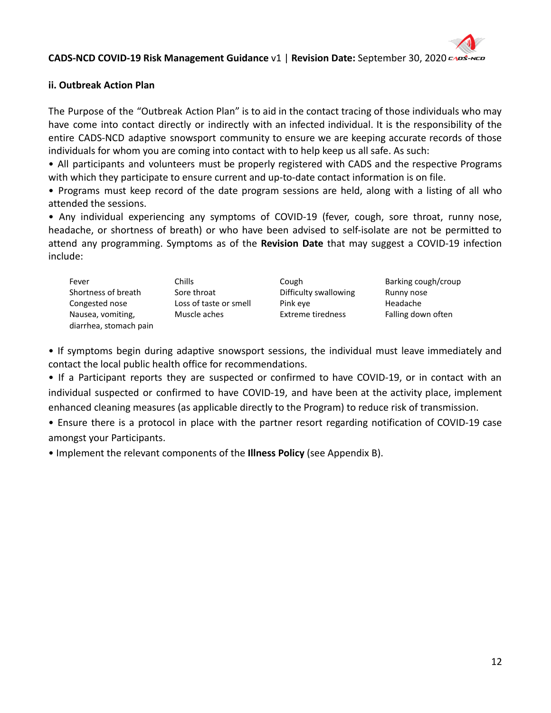# **ii. Outbreak Action Plan**

The Purpose of the "Outbreak Action Plan" is to aid in the contact tracing of those individuals who may have come into contact directly or indirectly with an infected individual. It is the responsibility of the entire CADS-NCD adaptive snowsport community to ensure we are keeping accurate records of those individuals for whom you are coming into contact with to help keep us all safe. As such:

• All participants and volunteers must be properly registered with CADS and the respective Programs with which they participate to ensure current and up-to-date contact information is on file.

• Programs must keep record of the date program sessions are held, along with a listing of all who attended the sessions.

• Any individual experiencing any symptoms of COVID-19 (fever, cough, sore throat, runny nose, headache, or shortness of breath) or who have been advised to self-isolate are not be permitted to attend any programming. Symptoms as of the **Revision Date** that may suggest a COVID-19 infection include:

| Fever                  | Chills.                | Cough                 | Barking cough/croup |
|------------------------|------------------------|-----------------------|---------------------|
| Shortness of breath    | Sore throat            | Difficulty swallowing | Runny nose          |
| Congested nose         | Loss of taste or smell | Pink eye              | Headache            |
| Nausea, vomiting,      | Muscle aches           | Extreme tiredness     | Falling down often  |
| diarrhea, stomach pain |                        |                       |                     |

• If symptoms begin during adaptive snowsport sessions, the individual must leave immediately and contact the local public health office for recommendations.

• If a Participant reports they are suspected or confirmed to have COVID-19, or in contact with an individual suspected or confirmed to have COVID-19, and have been at the activity place, implement enhanced cleaning measures (as applicable directly to the Program) to reduce risk of transmission.

• Ensure there is a protocol in place with the partner resort regarding notification of COVID-19 case amongst your Participants.

• Implement the relevant components of the **Illness Policy** (see Appendix B).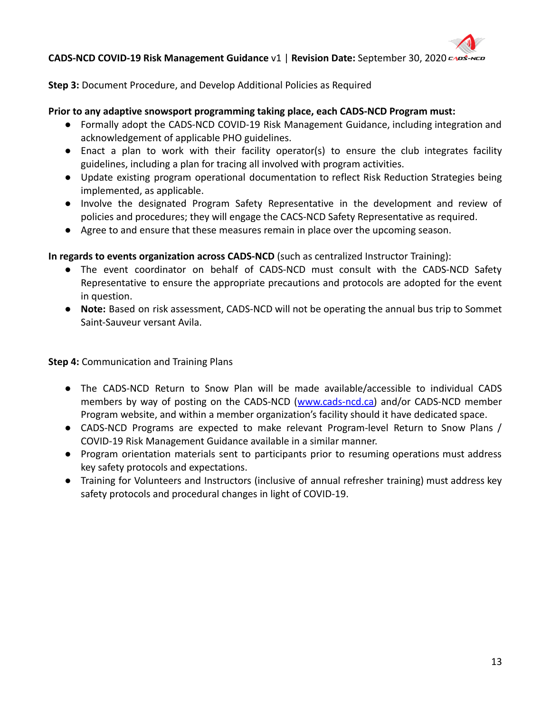**Step 3:** Document Procedure, and Develop Additional Policies as Required

# **Prior to any adaptive snowsport programming taking place, each CADS-NCD Program must:**

- Formally adopt the CADS-NCD COVID-19 Risk Management Guidance, including integration and acknowledgement of applicable PHO guidelines.
- Enact a plan to work with their facility operator(s) to ensure the club integrates facility guidelines, including a plan for tracing all involved with program activities.
- Update existing program operational documentation to reflect Risk Reduction Strategies being implemented, as applicable.
- Involve the designated Program Safety Representative in the development and review of policies and procedures; they will engage the CACS-NCD Safety Representative as required.
- Agree to and ensure that these measures remain in place over the upcoming season.

**In regards to events organization across CADS-NCD** (such as centralized Instructor Training):

- The event coordinator on behalf of CADS-NCD must consult with the CADS-NCD Safety Representative to ensure the appropriate precautions and protocols are adopted for the event in question.
- **Note:** Based on risk assessment, CADS-NCD will not be operating the annual bus trip to Sommet Saint-Sauveur versant Avila.

**Step 4:** Communication and Training Plans

- The CADS-NCD Return to Snow Plan will be made available/accessible to individual CADS members by way of posting on the CADS-NCD ([www.cads-ncd.ca\)](http://www.cads-ncd.ca) and/or CADS-NCD member Program website, and within a member organization's facility should it have dedicated space.
- CADS-NCD Programs are expected to make relevant Program-level Return to Snow Plans / COVID-19 Risk Management Guidance available in a similar manner.
- Program orientation materials sent to participants prior to resuming operations must address key safety protocols and expectations.
- Training for Volunteers and Instructors (inclusive of annual refresher training) must address key safety protocols and procedural changes in light of COVID-19.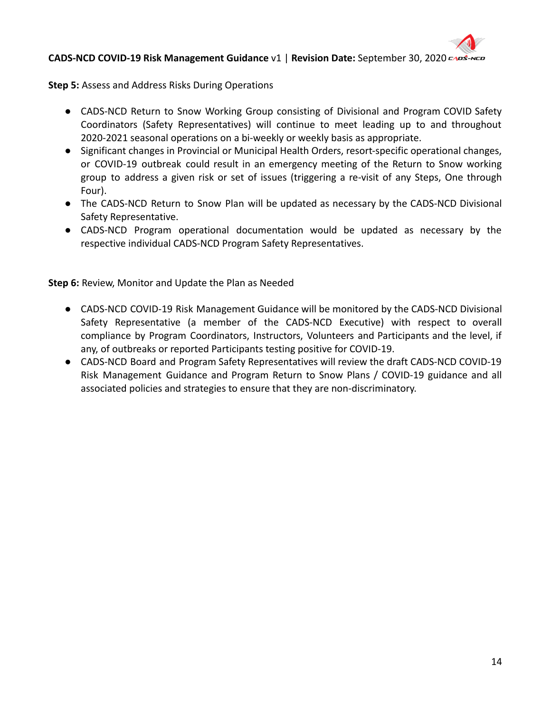**Step 5:** Assess and Address Risks During Operations

- CADS-NCD Return to Snow Working Group consisting of Divisional and Program COVID Safety Coordinators (Safety Representatives) will continue to meet leading up to and throughout 2020-2021 seasonal operations on a bi-weekly or weekly basis as appropriate.
- Significant changes in Provincial or Municipal Health Orders, resort-specific operational changes, or COVID-19 outbreak could result in an emergency meeting of the Return to Snow working group to address a given risk or set of issues (triggering a re-visit of any Steps, One through Four).
- The CADS-NCD Return to Snow Plan will be updated as necessary by the CADS-NCD Divisional Safety Representative.
- CADS-NCD Program operational documentation would be updated as necessary by the respective individual CADS-NCD Program Safety Representatives.

**Step 6:** Review, Monitor and Update the Plan as Needed

- **●** CADS-NCD COVID-19 Risk Management Guidance will be monitored by the CADS-NCD Divisional Safety Representative (a member of the CADS-NCD Executive) with respect to overall compliance by Program Coordinators, Instructors, Volunteers and Participants and the level, if any, of outbreaks or reported Participants testing positive for COVID-19.
- CADS-NCD Board and Program Safety Representatives will review the draft CADS-NCD COVID-19 Risk Management Guidance and Program Return to Snow Plans / COVID-19 guidance and all associated policies and strategies to ensure that they are non-discriminatory.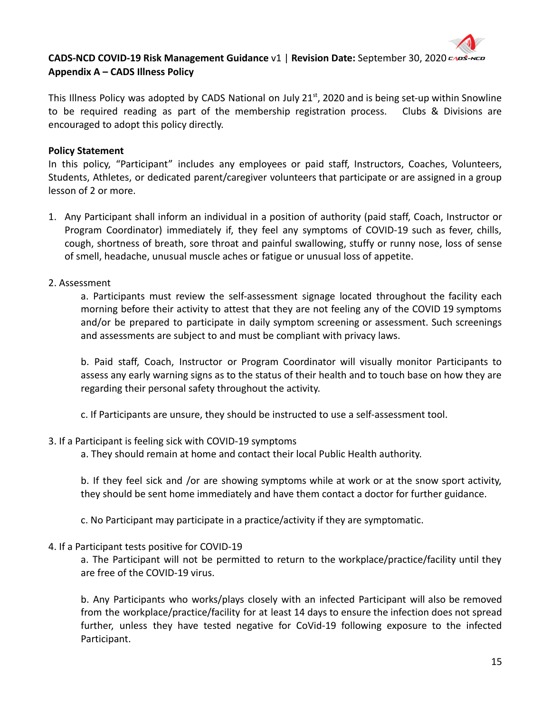

# **CADS-NCD COVID-19 Risk Management Guidance** v1 | **Revision Date:** September 30, 2020 **Appendix A – CADS Illness Policy**

This Illness Policy was adopted by CADS National on July 21 $^{\text{st}}$ , 2020 and is being set-up within Snowline to be required reading as part of the membership registration process. Clubs & Divisions are encouraged to adopt this policy directly.

# **Policy Statement**

In this policy, "Participant" includes any employees or paid staff, Instructors, Coaches, Volunteers, Students, Athletes, or dedicated parent/caregiver volunteers that participate or are assigned in a group lesson of 2 or more.

1. Any Participant shall inform an individual in a position of authority (paid staff, Coach, Instructor or Program Coordinator) immediately if, they feel any symptoms of COVID-19 such as fever, chills, cough, shortness of breath, sore throat and painful swallowing, stuffy or runny nose, loss of sense of smell, headache, unusual muscle aches or fatigue or unusual loss of appetite.

# 2. Assessment

a. Participants must review the self-assessment signage located throughout the facility each morning before their activity to attest that they are not feeling any of the COVID 19 symptoms and/or be prepared to participate in daily symptom screening or assessment. Such screenings and assessments are subject to and must be compliant with privacy laws.

b. Paid staff, Coach, Instructor or Program Coordinator will visually monitor Participants to assess any early warning signs as to the status of their health and to touch base on how they are regarding their personal safety throughout the activity.

c. If Participants are unsure, they should be instructed to use a self-assessment tool.

## 3. If a Participant is feeling sick with COVID-19 symptoms

a. They should remain at home and contact their local Public Health authority.

b. If they feel sick and /or are showing symptoms while at work or at the snow sport activity, they should be sent home immediately and have them contact a doctor for further guidance.

c. No Participant may participate in a practice/activity if they are symptomatic.

# 4. If a Participant tests positive for COVID-19

a. The Participant will not be permitted to return to the workplace/practice/facility until they are free of the COVID-19 virus.

b. Any Participants who works/plays closely with an infected Participant will also be removed from the workplace/practice/facility for at least 14 days to ensure the infection does not spread further, unless they have tested negative for CoVid-19 following exposure to the infected Participant.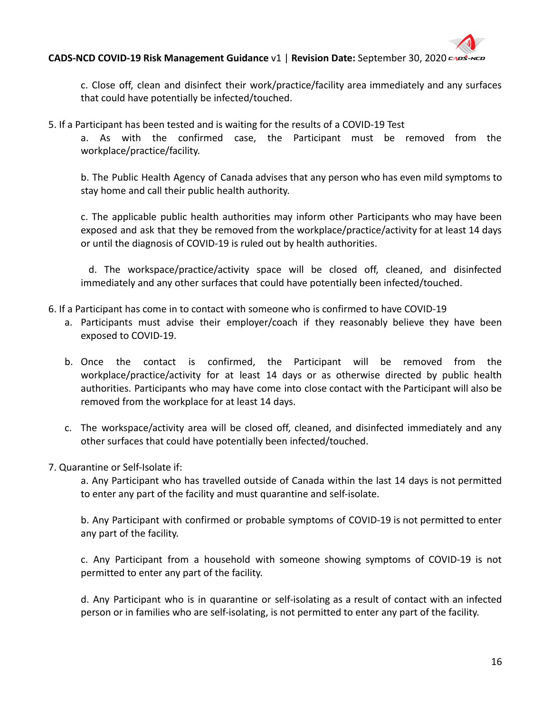

c. Close off, clean and disinfect their work/practice/facility area immediately and any surfaces that could have potentially be infected/touched.

5. If a Participant has been tested and is waiting for the results of a COVID-19 Test

a. As with the confirmed case, the Participant must be removed from the workplace/practice/facility.

b. The Public Health Agency of Canada advises that any person who has even mild symptoms to stay home and call their public health authority.

c. The applicable public health authorities may inform other Participants who may have been exposed and ask that they be removed from the workplace/practice/activity for at least 14 days or until the diagnosis of COVID-19 is ruled out by health authorities.

d. The workspace/practice/activity space will be closed off, cleaned, and disinfected immediately and any other surfaces that could have potentially been infected/touched.

- 6. If a Participant has come in to contact with someone who is confirmed to have COVID-19
	- a. Participants must advise their employer/coach if they reasonably believe they have been exposed to COVID-19.
	- b. Once the contact is confirmed, the Participant will be removed from the workplace/practice/activity for at least 14 days or as otherwise directed by public health authorities. Participants who may have come into close contact with the Participant will also be removed from the workplace for at least 14 days.
	- c. The workspace/activity area will be closed off, cleaned, and disinfected immediately and any other surfaces that could have potentially been infected/touched.
- 7. Quarantine or Self-Isolate if:

a. Any Participant who has travelled outside of Canada within the last 14 days is not permitted to enter any part of the facility and must quarantine and self-isolate.

b. Any Participant with confirmed or probable symptoms of COVID-19 is not permitted to enter any part of the facility.

c. Any Participant from a household with someone showing symptoms of COVID-19 is not permitted to enter any part of the facility.

d. Any Participant who is in quarantine or self-isolating as a result of contact with an infected person or in families who are self-isolating, is not permitted to enter any part of the facility.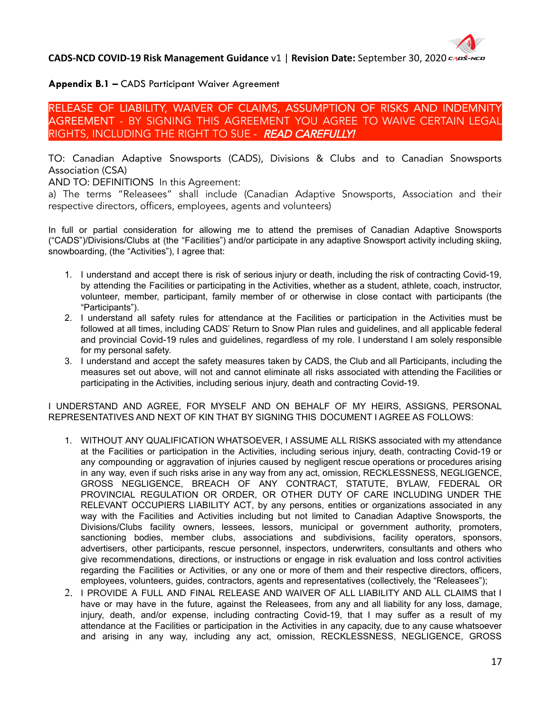# **Appendix B.1 –** CADS Participant Waiver Agreement

RELEASE OF LIABILITY, WAIVER OF CLAIMS, ASSUMPTION OF RISKS AND INDEMNITY AGREEMENT - BY SIGNING THIS AGREEMENT YOU AGREE TO WAIVE CERTAIN LEGAL RIGHTS, INCLUDING THE RIGHT TO SUE - READ CAREFULLY!

TO: Canadian Adaptive Snowsports (CADS), Divisions & Clubs and to Canadian Snowsports Association (CSA)

AND TO: DEFINITIONS In this Agreement:

a) The terms "Releasees" shall include (Canadian Adaptive Snowsports, Association and their respective directors, officers, employees, agents and volunteers)

In full or partial consideration for allowing me to attend the premises of Canadian Adaptive Snowsports ("CADS")/Divisions/Clubs at (the "Facilities") and/or participate in any adaptive Snowsport activity including skiing, snowboarding, (the "Activities"), I agree that:

- 1. I understand and accept there is risk of serious injury or death, including the risk of contracting Covid-19, by attending the Facilities or participating in the Activities, whether as a student, athlete, coach, instructor, volunteer, member, participant, family member of or otherwise in close contact with participants (the "Participants").
- 2. I understand all safety rules for attendance at the Facilities or participation in the Activities must be followed at all times, including CADS' Return to Snow Plan rules and guidelines, and all applicable federal and provincial Covid-19 rules and guidelines, regardless of my role. I understand I am solely responsible for my personal safety.
- 3. I understand and accept the safety measures taken by CADS, the Club and all Participants, including the measures set out above, will not and cannot eliminate all risks associated with attending the Facilities or participating in the Activities, including serious injury, death and contracting Covid-19.

I UNDERSTAND AND AGREE, FOR MYSELF AND ON BEHALF OF MY HEIRS, ASSIGNS, PERSONAL REPRESENTATIVES AND NEXT OF KIN THAT BY SIGNING THIS DOCUMENT I AGREE AS FOLLOWS:

- 1. WITHOUT ANY QUALIFICATION WHATSOEVER, I ASSUME ALL RISKS associated with my attendance at the Facilities or participation in the Activities, including serious injury, death, contracting Covid-19 or any compounding or aggravation of injuries caused by negligent rescue operations or procedures arising in any way, even if such risks arise in any way from any act, omission, RECKLESSNESS, NEGLIGENCE, GROSS NEGLIGENCE, BREACH OF ANY CONTRACT, STATUTE, BYLAW, FEDERAL OR PROVINCIAL REGULATION OR ORDER, OR OTHER DUTY OF CARE INCLUDING UNDER THE RELEVANT OCCUPIERS LIABILITY ACT, by any persons, entities or organizations associated in any way with the Facilities and Activities including but not limited to Canadian Adaptive Snowsports, the Divisions/Clubs facility owners, lessees, lessors, municipal or government authority, promoters, sanctioning bodies, member clubs, associations and subdivisions, facility operators, sponsors, advertisers, other participants, rescue personnel, inspectors, underwriters, consultants and others who give recommendations, directions, or instructions or engage in risk evaluation and loss control activities regarding the Facilities or Activities, or any one or more of them and their respective directors, officers, employees, volunteers, guides, contractors, agents and representatives (collectively, the "Releasees");
- 2. I PROVIDE A FULL AND FINAL RELEASE AND WAIVER OF ALL LIABILITY AND ALL CLAIMS that I have or may have in the future, against the Releasees, from any and all liability for any loss, damage, injury, death, and/or expense, including contracting Covid-19, that I may suffer as a result of my attendance at the Facilities or participation in the Activities in any capacity, due to any cause whatsoever and arising in any way, including any act, omission, RECKLESSNESS, NEGLIGENCE, GROSS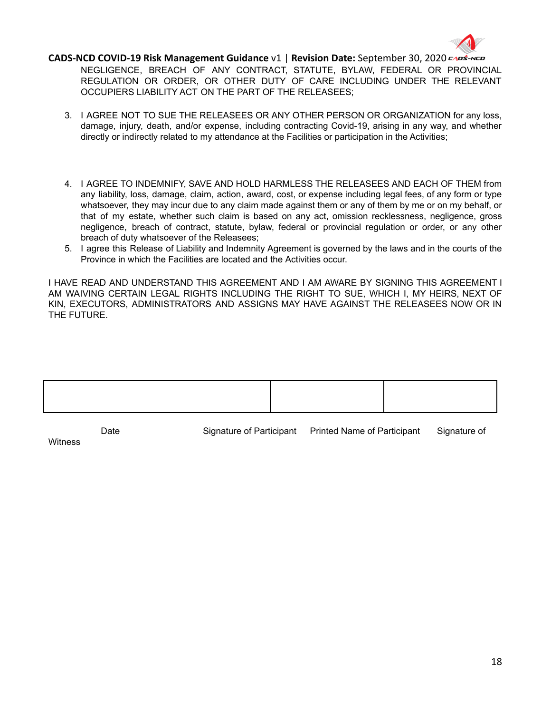

NEGLIGENCE, BREACH OF ANY CONTRACT, STATUTE, BYLAW, FEDERAL OR PROVINCIAL REGULATION OR ORDER, OR OTHER DUTY OF CARE INCLUDING UNDER THE RELEVANT OCCUPIERS LIABILITY ACT ON THE PART OF THE RELEASEES;

- 3. I AGREE NOT TO SUE THE RELEASEES OR ANY OTHER PERSON OR ORGANIZATION for any loss, damage, injury, death, and/or expense, including contracting Covid-19, arising in any way, and whether directly or indirectly related to my attendance at the Facilities or participation in the Activities;
- 4. I AGREE TO INDEMNIFY, SAVE AND HOLD HARMLESS THE RELEASEES AND EACH OF THEM from any liability, loss, damage, claim, action, award, cost, or expense including legal fees, of any form or type whatsoever, they may incur due to any claim made against them or any of them by me or on my behalf, or that of my estate, whether such claim is based on any act, omission recklessness, negligence, gross negligence, breach of contract, statute, bylaw, federal or provincial regulation or order, or any other breach of duty whatsoever of the Releasees;
- 5. I agree this Release of Liability and Indemnity Agreement is governed by the laws and in the courts of the Province in which the Facilities are located and the Activities occur.

I HAVE READ AND UNDERSTAND THIS AGREEMENT AND I AM AWARE BY SIGNING THIS AGREEMENT I AM WAIVING CERTAIN LEGAL RIGHTS INCLUDING THE RIGHT TO SUE, WHICH I, MY HEIRS, NEXT OF KIN, EXECUTORS, ADMINISTRATORS AND ASSIGNS MAY HAVE AGAINST THE RELEASEES NOW OR IN THE FUTURE.

| Date | Signature of Participant | <b>Printed Name of Participant</b> | Signature of |
|------|--------------------------|------------------------------------|--------------|

**Witness**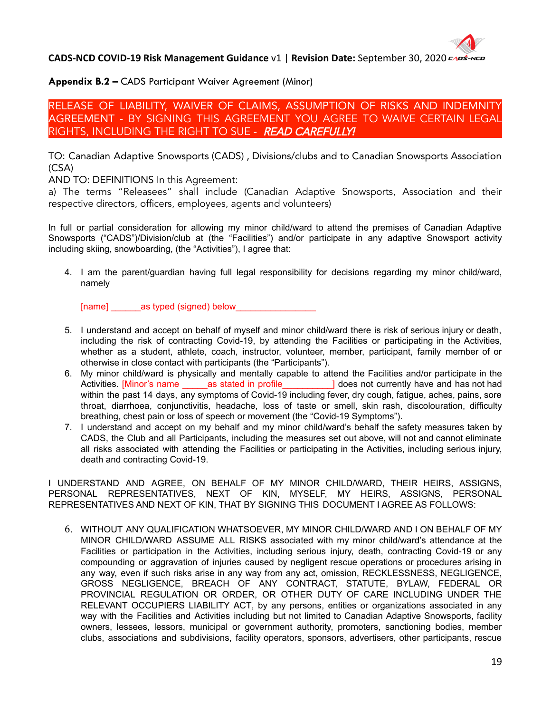# **Appendix B.2 –** CADS Participant Waiver Agreement (Minor)

RELEASE OF LIABILITY, WAIVER OF CLAIMS, ASSUMPTION OF RISKS AND INDEMNITY AGREEMENT - BY SIGNING THIS AGREEMENT YOU AGREE TO WAIVE CERTAIN LEGAL RIGHTS, INCLUDING THE RIGHT TO SUE - READ CAREFULLY!

TO: Canadian Adaptive Snowsports (CADS) , Divisions/clubs and to Canadian Snowsports Association (CSA)

AND TO: DEFINITIONS In this Agreement:

a) The terms "Releasees" shall include (Canadian Adaptive Snowsports, Association and their respective directors, officers, employees, agents and volunteers)

In full or partial consideration for allowing my minor child/ward to attend the premises of Canadian Adaptive Snowsports ("CADS")/Division/club at (the "Facilities") and/or participate in any adaptive Snowsport activity including skiing, snowboarding, (the "Activities"), I agree that:

4. I am the parent/guardian having full legal responsibility for decisions regarding my minor child/ward, namely

[name] \_\_\_\_\_\_as typed (signed) below\_\_\_\_\_\_\_\_\_\_\_\_\_\_\_\_

- 5. I understand and accept on behalf of myself and minor child/ward there is risk of serious injury or death, including the risk of contracting Covid-19, by attending the Facilities or participating in the Activities, whether as a student, athlete, coach, instructor, volunteer, member, participant, family member of or otherwise in close contact with participants (the "Participants").
- 6. My minor child/ward is physically and mentally capable to attend the Facilities and/or participate in the Activities. [Minor's name \_\_\_\_\_\_\_\_ as stated in profile\_\_\_\_\_\_\_\_\_\_\_\_] does not currently have and has not had within the past 14 days, any symptoms of Covid-19 including fever, dry cough, fatigue, aches, pains, sore throat, diarrhoea, conjunctivitis, headache, loss of taste or smell, skin rash, discolouration, difficulty breathing, chest pain or loss of speech or movement (the "Covid-19 Symptoms").
- 7. I understand and accept on my behalf and my minor child/ward's behalf the safety measures taken by CADS, the Club and all Participants, including the measures set out above, will not and cannot eliminate all risks associated with attending the Facilities or participating in the Activities, including serious injury, death and contracting Covid-19.

I UNDERSTAND AND AGREE, ON BEHALF OF MY MINOR CHILD/WARD, THEIR HEIRS, ASSIGNS, PERSONAL REPRESENTATIVES, NEXT OF KIN, MYSELF, MY HEIRS, ASSIGNS, PERSONAL REPRESENTATIVES AND NEXT OF KIN, THAT BY SIGNING THIS DOCUMENT I AGREE AS FOLLOWS:

6. WITHOUT ANY QUALIFICATION WHATSOEVER, MY MINOR CHILD/WARD AND I ON BEHALF OF MY MINOR CHILD/WARD ASSUME ALL RISKS associated with my minor child/ward's attendance at the Facilities or participation in the Activities, including serious injury, death, contracting Covid-19 or any compounding or aggravation of injuries caused by negligent rescue operations or procedures arising in any way, even if such risks arise in any way from any act, omission, RECKLESSNESS, NEGLIGENCE, GROSS NEGLIGENCE, BREACH OF ANY CONTRACT, STATUTE, BYLAW, FEDERAL OR PROVINCIAL REGULATION OR ORDER, OR OTHER DUTY OF CARE INCLUDING UNDER THE RELEVANT OCCUPIERS LIABILITY ACT, by any persons, entities or organizations associated in any way with the Facilities and Activities including but not limited to Canadian Adaptive Snowsports, facility owners, lessees, lessors, municipal or government authority, promoters, sanctioning bodies, member clubs, associations and subdivisions, facility operators, sponsors, advertisers, other participants, rescue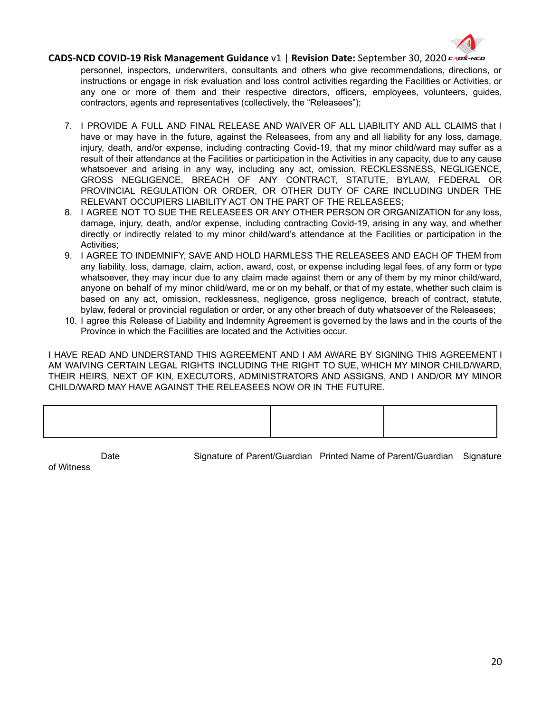

personnel, inspectors, underwriters, consultants and others who give recommendations, directions, or instructions or engage in risk evaluation and loss control activities regarding the Facilities or Activities, or any one or more of them and their respective directors, officers, employees, volunteers, guides, contractors, agents and representatives (collectively, the "Releasees");

- 7. I PROVIDE A FULL AND FINAL RELEASE AND WAIVER OF ALL LIABILITY AND ALL CLAIMS that I have or may have in the future, against the Releasees, from any and all liability for any loss, damage, injury, death, and/or expense, including contracting Covid-19, that my minor child/ward may suffer as a result of their attendance at the Facilities or participation in the Activities in any capacity, due to any cause whatsoever and arising in any way, including any act, omission, RECKLESSNESS, NEGLIGENCE, GROSS NEGLIGENCE, BREACH OF ANY CONTRACT, STATUTE, BYLAW, FEDERAL OR PROVINCIAL REGULATION OR ORDER, OR OTHER DUTY OF CARE INCLUDING UNDER THE RELEVANT OCCUPIERS LIABILITY ACT ON THE PART OF THE RELEASEES;
- 8. I AGREE NOT TO SUE THE RELEASEES OR ANY OTHER PERSON OR ORGANIZATION for any loss, damage, injury, death, and/or expense, including contracting Covid-19, arising in any way, and whether directly or indirectly related to my minor child/ward's attendance at the Facilities or participation in the Activities;
- 9. I AGREE TO INDEMNIFY, SAVE AND HOLD HARMLESS THE RELEASEES AND EACH OF THEM from any liability, loss, damage, claim, action, award, cost, or expense including legal fees, of any form or type whatsoever, they may incur due to any claim made against them or any of them by my minor child/ward, anyone on behalf of my minor child/ward, me or on my behalf, or that of my estate, whether such claim is based on any act, omission, recklessness, negligence, gross negligence, breach of contract, statute, bylaw, federal or provincial regulation or order, or any other breach of duty whatsoever of the Releasees;
- 10. I agree this Release of Liability and Indemnity Agreement is governed by the laws and in the courts of the Province in which the Facilities are located and the Activities occur.

I HAVE READ AND UNDERSTAND THIS AGREEMENT AND I AM AWARE BY SIGNING THIS AGREEMENT I AM WAIVING CERTAIN LEGAL RIGHTS INCLUDING THE RIGHT TO SUE, WHICH MY MINOR CHILD/WARD, THEIR HEIRS, NEXT OF KIN, EXECUTORS, ADMINISTRATORS AND ASSIGNS, AND I AND/OR MY MINOR CHILD/WARD MAY HAVE AGAINST THE RELEASEES NOW OR IN THE FUTURE.

Date Signature of Parent/Guardian Printed Name of Parent/Guardian Signature

of Witness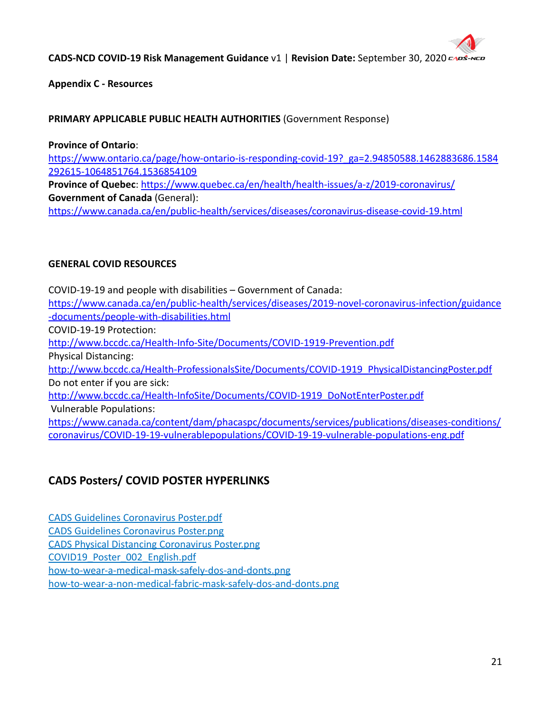

**Appendix C - Resources**

# **PRIMARY APPLICABLE PUBLIC HEALTH AUTHORITIES** (Government Response)

**Province of Ontario**: https://www.ontario.ca/page/how-ontario-is-responding-covid-19? ga=2.94850588.1462883686.1584 [292615-1064851764.1536854109](https://www.ontario.ca/page/how-ontario-is-responding-covid-19?_ga=2.94850588.1462883686.1584292615-1064851764.1536854109) **Province of Quebec**: <https://www.quebec.ca/en/health/health-issues/a-z/2019-coronavirus/> **Government of Canada** (General):

<https://www.canada.ca/en/public-health/services/diseases/coronavirus-disease-covid-19.html>

# **GENERAL COVID RESOURCES**

COVID-19-19 and people with disabilities – Government of Canada: https://www.canada.ca/en/public-health/services/diseases/2019-novel-coronavirus-infection/guidance -documents/people-with-disabilities.html COVID-19-19 Protection: [http://www.bccdc.ca/Health-Info-Site/Documents/COVID-1919-Prevention.pdf](http://www.bccdc.ca/Health-Info-Site/Documents/COVID19-Prevention.pdf) Physical Distancing: [http://www.bccdc.ca/Health-ProfessionalsSite/Documents/COVID-1919\\_PhysicalDistancingPoster.pdf](http://www.bccdc.ca/Health-ProfessionalsSite/Documents/COVID19_PhysicalDistancingPoster.pdf) Do not enter if you are sick: [http://www.bccdc.ca/Health-InfoSite/Documents/COVID-1919\\_DoNotEnterPoster.pdf](http://www.bccdc.ca/Health-InfoSite/Documents/COVID19_DoNotEnterPoster.pdf) Vulnerable Populations: [https://www.canada.ca/content/dam/phacaspc/documents/services/publications/diseases-conditions/](https://www.canada.ca/content/dam/phacaspc/documents/services/publications/diseases-conditions/coronavirus/COVID-19-19-vulnerablepopulations/COVID-19-19-vulnerable-populations-eng.pdf) [coronavirus/COVID-19-19-vulnerablepopulations/COVID-19-19-vulnerable-populations-eng.pdf](https://www.canada.ca/content/dam/phacaspc/documents/services/publications/diseases-conditions/coronavirus/COVID-19-19-vulnerablepopulations/COVID-19-19-vulnerable-populations-eng.pdf)

# **CADS Posters/ COVID POSTER HYPERLINKS**

[CADS Guidelines Coronavirus Poster.pdf](https://files.constantcontact.com/a7e5279e301/73d8dd3f-35e6-4b3b-ab3a-eb40ccb806ad.pdf) [CADS Guidelines Coronavirus Poster.png](https://files.constantcontact.com/a7e5279e301/8af60730-ff70-4763-843f-61f92319ccb1.png) [CADS Physical Distancing Coronavirus Poster.png](https://files.constantcontact.com/a7e5279e301/c1d1bec1-afc2-42bf-add9-e34838efaf1c.png) [COVID19\\_Poster\\_002\\_English.pdf](https://files.constantcontact.com/a7e5279e301/4cbdc4a3-b4f5-47da-939d-f3dad9aead25.pdf) [how-to-wear-a-medical-mask-safely-dos-and-donts.png](https://files.constantcontact.com/a7e5279e301/cd4c41de-0775-452d-9e43-d11a706d666f.png) [how-to-wear-a-non-medical-fabric-mask-safely-dos-and-donts.png](https://files.constantcontact.com/a7e5279e301/823e1483-f3fa-45d2-9011-c1e0e99006d4.png)